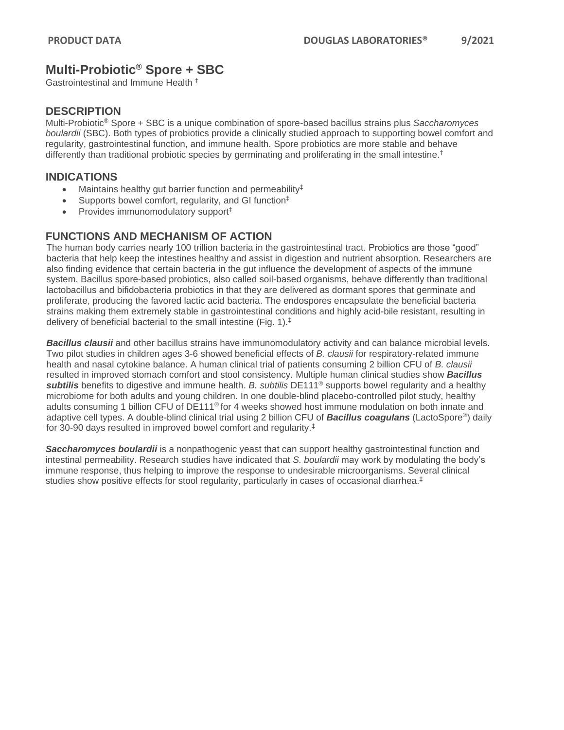# **Multi-Probiotic® Spore + SBC**

Gastrointestinal and Immune Health ‡

#### **DESCRIPTION**

Multi-Probiotic® Spore + SBC is a unique combination of spore-based bacillus strains plus *Saccharomyces boulardii* (SBC). Both types of probiotics provide a clinically studied approach to supporting bowel comfort and regularity, gastrointestinal function, and immune health. Spore probiotics are more stable and behave differently than traditional probiotic species by germinating and proliferating in the small intestine. ‡

#### **INDICATIONS**

- Maintains healthy gut barrier function and permeability<sup>‡</sup>
- Supports bowel comfort, regularity, and GI function<sup>‡</sup>
- Provides immunomodulatory support‡

## **FUNCTIONS AND MECHANISM OF ACTION**

The human body carries nearly 100 trillion bacteria in the gastrointestinal tract. Probiotics are those "good" bacteria that help keep the intestines healthy and assist in digestion and nutrient absorption. Researchers are also finding evidence that certain bacteria in the gut influence the development of aspects of the immune system. Bacillus spore-based probiotics, also called soil-based organisms, behave differently than traditional lactobacillus and bifidobacteria probiotics in that they are delivered as dormant spores that germinate and proliferate, producing the favored lactic acid bacteria. The endospores encapsulate the beneficial bacteria strains making them extremely stable in gastrointestinal conditions and highly acid-bile resistant, resulting in delivery of beneficial bacterial to the small intestine (Fig. 1). ‡

*Bacillus clausii* and other bacillus strains have immunomodulatory activity and can balance microbial levels. Two pilot studies in children ages 3-6 showed beneficial effects of *B. clausii* for respiratory-related immune health and nasal cytokine balance. A human clinical trial of patients consuming 2 billion CFU of *B. clausii* resulted in improved stomach comfort and stool consistency. Multiple human clinical studies show *Bacillus subtilis* benefits to digestive and immune health. *B. subtilis* DE111® supports bowel regularity and a healthy microbiome for both adults and young children. In one double-blind placebo-controlled pilot study, healthy adults consuming 1 billion CFU of DE111® for 4 weeks showed host immune modulation on both innate and adaptive cell types. A double-blind clinical trial using 2 billion CFU of *Bacillus coagulans* (LactoSpore®) daily for 30-90 days resulted in improved bowel comfort and regularity.‡

**Saccharomyces boulardii** is a nonpathogenic yeast that can support healthy gastrointestinal function and intestinal permeability. Research studies have indicated that *S. boulardii* may work by modulating the body's immune response, thus helping to improve the response to undesirable microorganisms. Several clinical studies show positive effects for stool regularity, particularly in cases of occasional diarrhea.<sup>‡</sup>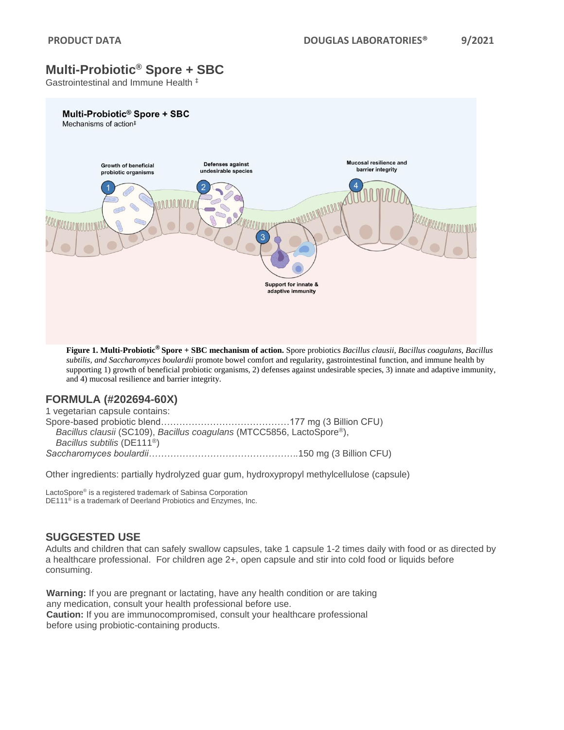# **Multi-Probiotic® Spore + SBC**

Gastrointestinal and Immune Health ‡



**Figure 1. Multi-Probiotic ® Spore + SBC mechanism of action.** Spore probiotics *Bacillus clausii, Bacillus coagulans, Bacillus subtilis, and Saccharomyces boulardii* promote bowel comfort and regularity, gastrointestinal function, and immune health by supporting 1) growth of beneficial probiotic organisms, 2) defenses against undesirable species, 3) innate and adaptive immunity, and 4) mucosal resilience and barrier integrity.

## **FORMULA (#202694-60X)**

1 vegetarian capsule contains: Spore-based probiotic blend……………………………………177 mg (3 Billion CFU) *Bacillus clausii* (SC109), *Bacillus coagulans* (MTCC5856, LactoSpore®), *Bacillus subtilis* (DE111®) *Saccharomyces boulardii………………………………………….*150 mg (3 Billion CFU)

Other ingredients: partially hydrolyzed guar gum, hydroxypropyl methylcellulose (capsule)

LactoSpore® is a registered trademark of Sabinsa Corporation DE111® is a trademark of Deerland Probiotics and Enzymes, Inc.

## **SUGGESTED USE**

Adults and children that can safely swallow capsules, take 1 capsule 1-2 times daily with food or as directed by a healthcare professional. For children age 2+, open capsule and stir into cold food or liquids before consuming.

**Warning:** If you are pregnant or lactating, have any health condition or are taking any medication, consult your health professional before use. **Caution:** If you are immunocompromised, consult your healthcare professional before using probiotic-containing products.